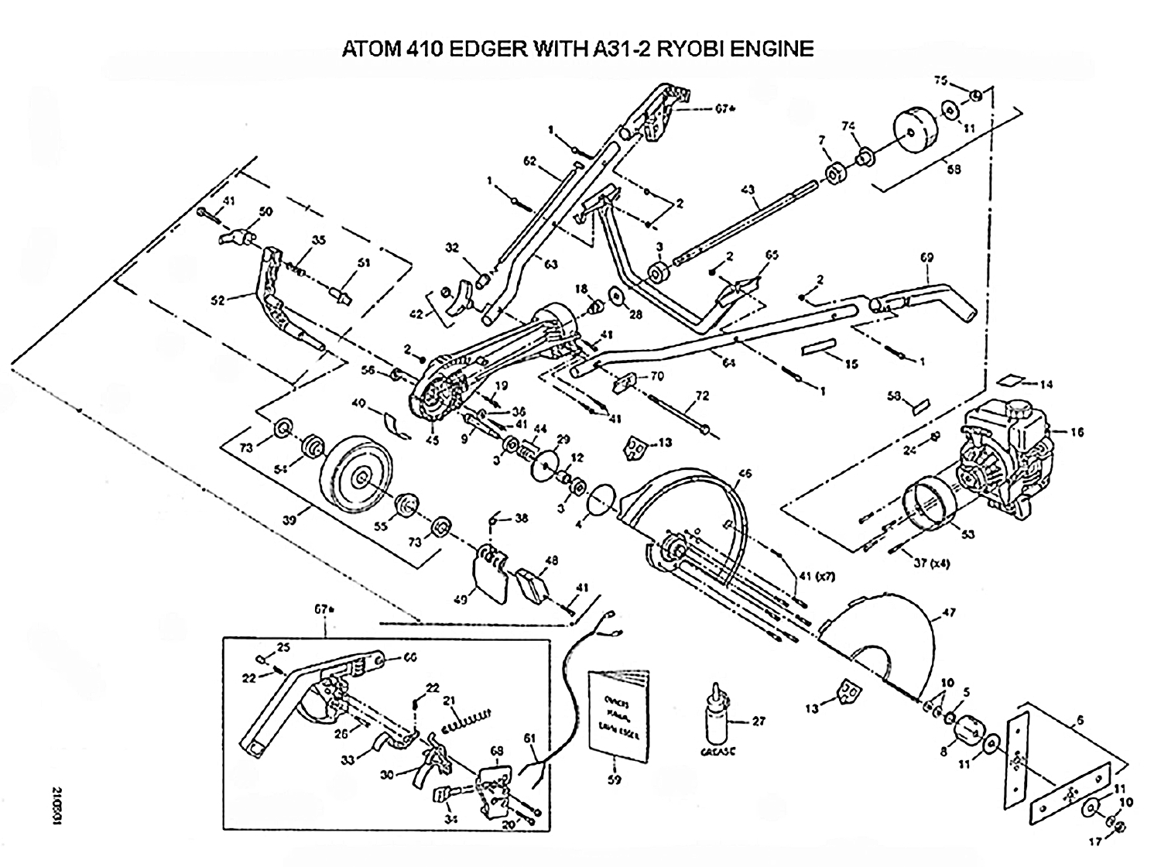## ATOM 410 EDGER WITH A31-2 RYOBI ENGINE